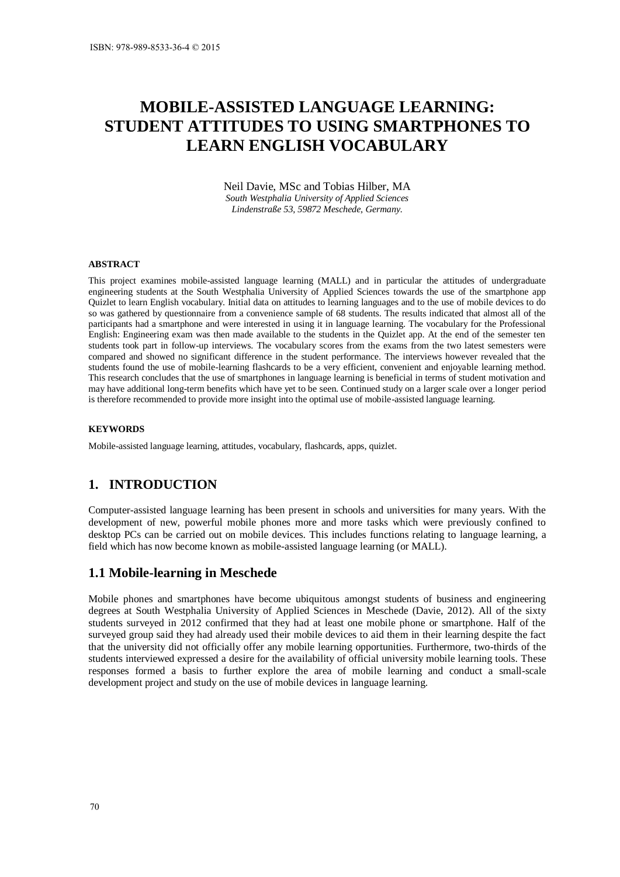# **MOBILE-ASSISTED LANGUAGE LEARNING: STUDENT ATTITUDES TO USING SMARTPHONES TO LEARN ENGLISH VOCABULARY**

Neil Davie, MSc and Tobias Hilber, MA *South Westphalia University of Applied Sciences Lindenstraße 53, 59872 Meschede, Germany.* 

#### **ABSTRACT**

This project examines mobile-assisted language learning (MALL) and in particular the attitudes of undergraduate engineering students at the South Westphalia University of Applied Sciences towards the use of the smartphone app Quizlet to learn English vocabulary. Initial data on attitudes to learning languages and to the use of mobile devices to do so was gathered by questionnaire from a convenience sample of 68 students. The results indicated that almost all of the participants had a smartphone and were interested in using it in language learning. The vocabulary for the Professional English: Engineering exam was then made available to the students in the Quizlet app. At the end of the semester ten students took part in follow-up interviews. The vocabulary scores from the exams from the two latest semesters were compared and showed no significant difference in the student performance. The interviews however revealed that the students found the use of mobile-learning flashcards to be a very efficient, convenient and enjoyable learning method. This research concludes that the use of smartphones in language learning is beneficial in terms of student motivation and may have additional long-term benefits which have yet to be seen. Continued study on a larger scale over a longer period is therefore recommended to provide more insight into the optimal use of mobile-assisted language learning.

#### **KEYWORDS**

Mobile-assisted language learning, attitudes, vocabulary, flashcards, apps, quizlet.

## **1. INTRODUCTION**

Computer-assisted language learning has been present in schools and universities for many years. With the development of new, powerful mobile phones more and more tasks which were previously confined to desktop PCs can be carried out on mobile devices. This includes functions relating to language learning, a field which has now become known as mobile-assisted language learning (or MALL).

#### **1.1 Mobile-learning in Meschede**

Mobile phones and smartphones have become ubiquitous amongst students of business and engineering degrees at South Westphalia University of Applied Sciences in Meschede (Davie, 2012). All of the sixty students surveyed in 2012 confirmed that they had at least one mobile phone or smartphone. Half of the surveyed group said they had already used their mobile devices to aid them in their learning despite the fact that the university did not officially offer any mobile learning opportunities. Furthermore, two-thirds of the students interviewed expressed a desire for the availability of official university mobile learning tools. These responses formed a basis to further explore the area of mobile learning and conduct a small-scale development project and study on the use of mobile devices in language learning.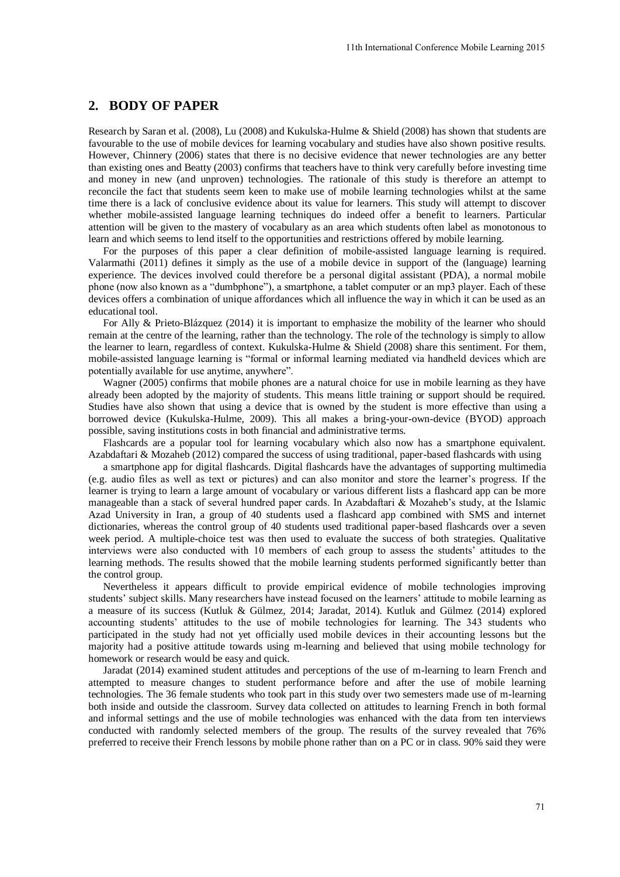## **2. BODY OF PAPER**

Research by Saran et al. (2008), Lu (2008) and Kukulska-Hulme & Shield (2008) has shown that students are favourable to the use of mobile devices for learning vocabulary and studies have also shown positive results. However, Chinnery (2006) states that there is no decisive evidence that newer technologies are any better than existing ones and Beatty (2003) confirms that teachers have to think very carefully before investing time and money in new (and unproven) technologies. The rationale of this study is therefore an attempt to reconcile the fact that students seem keen to make use of mobile learning technologies whilst at the same time there is a lack of conclusive evidence about its value for learners. This study will attempt to discover whether mobile-assisted language learning techniques do indeed offer a benefit to learners. Particular attention will be given to the mastery of vocabulary as an area which students often label as monotonous to learn and which seems to lend itself to the opportunities and restrictions offered by mobile learning. 11th International Conference Mobile Learning 2015<br>me R. Shield (2008) has shown that students are<br>ny and studies have also shown nostive results.<br>Vidence that newer technologies are cany betternal to<br>wide to think very c

For the purposes of this paper a clear definition of mobile-assisted language learning is required. Valarmathi (2011) defines it simply as the use of a mobile device in support of the (language) learning experience. The devices involved could therefore be a personal digital assistant (PDA), a normal mobile phone (now also known as a "dumbphone"), a smartphone, a tablet computer or an mp3 player. Each of these devices offers a combination of unique affordances which all influence the way in which it can be used as an educational tool.

For Ally & Prieto-Blázquez (2014) it is important to emphasize the mobility of the learner who should remain at the centre of the learning, rather than the technology. The role of the technology is simply to allow the learner to learn, regardless of context. Kukulska-Hulme & Shield (2008) share this sentiment. For them, mobile-assisted language learning is "formal or informal learning mediated via handheld devices which are potentially available for use anytime, anywhere".

Wagner (2005) confirms that mobile phones are a natural choice for use in mobile learning as they have already been adopted by the majority of students. This means little training or support should be required. Studies have also shown that using a device that is owned by the student is more effective than using a borrowed device (Kukulska-Hulme, 2009). This all makes a bring-your-own-device (BYOD) approach possible, saving institutions costs in both financial and administrative terms.

Flashcards are a popular tool for learning vocabulary which also now has a smartphone equivalent. Azabdaftari & Mozaheb (2012) compared the success of using traditional, paper-based flashcards with using

a smartphone app for digital flashcards. Digital flashcards have the advantages of supporting multimedia (e.g. audio files as well as text or pictures) and can also monitor and store the learner's progress. If the learner is trying to learn a large amount of vocabulary or various different lists a flashcard app can be more manageable than a stack of several hundred paper cards. In Azabdaftari & Mozaheb's study, at the Islamic Azad University in Iran, a group of 40 students used a flashcard app combined with SMS and internet dictionaries, whereas the control group of 40 students used traditional paper-based flashcards over a seven week period. A multiple-choice test was then used to evaluate the success of both strategies. Qualitative interviews were also conducted with 10 members of each group to assess the students' attitudes to the learning methods. The results showed that the mobile learning students performed significantly better than the control group.

Nevertheless it appears difficult to provide empirical evidence of mobile technologies improving students' subject skills. Many researchers have instead focused on the learners' attitude to mobile learning as a measure of its success (Kutluk & Gülmez, 2014; Jaradat, 2014). Kutluk and Gülmez (2014) explored accounting students' attitudes to the use of mobile technologies for learning. The 343 students who participated in the study had not yet officially used mobile devices in their accounting lessons but the majority had a positive attitude towards using m-learning and believed that using mobile technology for homework or research would be easy and quick.

Jaradat (2014) examined student attitudes and perceptions of the use of m-learning to learn French and attempted to measure changes to student performance before and after the use of mobile learning technologies. The 36 female students who took part in this study over two semesters made use of m-learning both inside and outside the classroom. Survey data collected on attitudes to learning French in both formal and informal settings and the use of mobile technologies was enhanced with the data from ten interviews conducted with randomly selected members of the group. The results of the survey revealed that 76% preferred to receive their French lessons by mobile phone rather than on a PC or in class. 90% said they were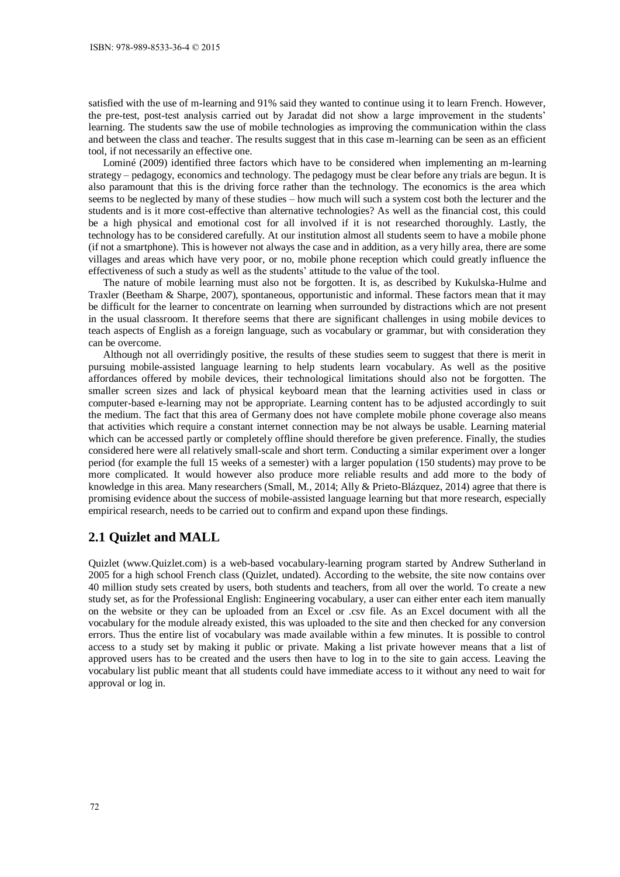satisfied with the use of m-learning and 91% said they wanted to continue using it to learn French. However, the pre-test, post-test analysis carried out by Jaradat did not show a large improvement in the students' learning. The students saw the use of mobile technologies as improving the communication within the class and between the class and teacher. The results suggest that in this case m-learning can be seen as an efficient tool, if not necessarily an effective one.

Lominé (2009) identified three factors which have to be considered when implementing an m-learning strategy – pedagogy, economics and technology. The pedagogy must be clear before any trials are begun. It is also paramount that this is the driving force rather than the technology. The economics is the area which seems to be neglected by many of these studies – how much will such a system cost both the lecturer and the students and is it more cost-effective than alternative technologies? As well as the financial cost, this could be a high physical and emotional cost for all involved if it is not researched thoroughly. Lastly, the technology has to be considered carefully. At our institution almost all students seem to have a mobile phone (if not a smartphone). This is however not always the case and in addition, as a very hilly area, there are some villages and areas which have very poor, or no, mobile phone reception which could greatly influence the effectiveness of such a study as well as the students' attitude to the value of the tool.

The nature of mobile learning must also not be forgotten. It is, as described by Kukulska-Hulme and Traxler (Beetham & Sharpe, 2007), spontaneous, opportunistic and informal. These factors mean that it may be difficult for the learner to concentrate on learning when surrounded by distractions which are not present in the usual classroom. It therefore seems that there are significant challenges in using mobile devices to teach aspects of English as a foreign language, such as vocabulary or grammar, but with consideration they can be overcome.

Although not all overridingly positive, the results of these studies seem to suggest that there is merit in pursuing mobile-assisted language learning to help students learn vocabulary. As well as the positive affordances offered by mobile devices, their technological limitations should also not be forgotten. The smaller screen sizes and lack of physical keyboard mean that the learning activities used in class or computer-based e-learning may not be appropriate. Learning content has to be adjusted accordingly to suit the medium. The fact that this area of Germany does not have complete mobile phone coverage also means that activities which require a constant internet connection may be not always be usable. Learning material which can be accessed partly or completely offline should therefore be given preference. Finally, the studies considered here were all relatively small-scale and short term. Conducting a similar experiment over a longer period (for example the full 15 weeks of a semester) with a larger population (150 students) may prove to be more complicated. It would however also produce more reliable results and add more to the body of knowledge in this area. Many researchers (Small, M., 2014; Ally & Prieto-Blázquez, 2014) agree that there is promising evidence about the success of mobile-assisted language learning but that more research, especially empirical research, needs to be carried out to confirm and expand upon these findings.

## **2.1 Quizlet and MALL**

Quizlet (www.Quizlet.com) is a web-based vocabulary-learning program started by Andrew Sutherland in 2005 for a high school French class (Quizlet, undated). According to the website, the site now contains over 40 million study sets created by users, both students and teachers, from all over the world. To create a new study set, as for the Professional English: Engineering vocabulary, a user can either enter each item manually on the website or they can be uploaded from an Excel or .csv file. As an Excel document with all the vocabulary for the module already existed, this was uploaded to the site and then checked for any conversion errors. Thus the entire list of vocabulary was made available within a few minutes. It is possible to control access to a study set by making it public or private. Making a list private however means that a list of approved users has to be created and the users then have to log in to the site to gain access. Leaving the vocabulary list public meant that all students could have immediate access to it without any need to wait for approval or log in.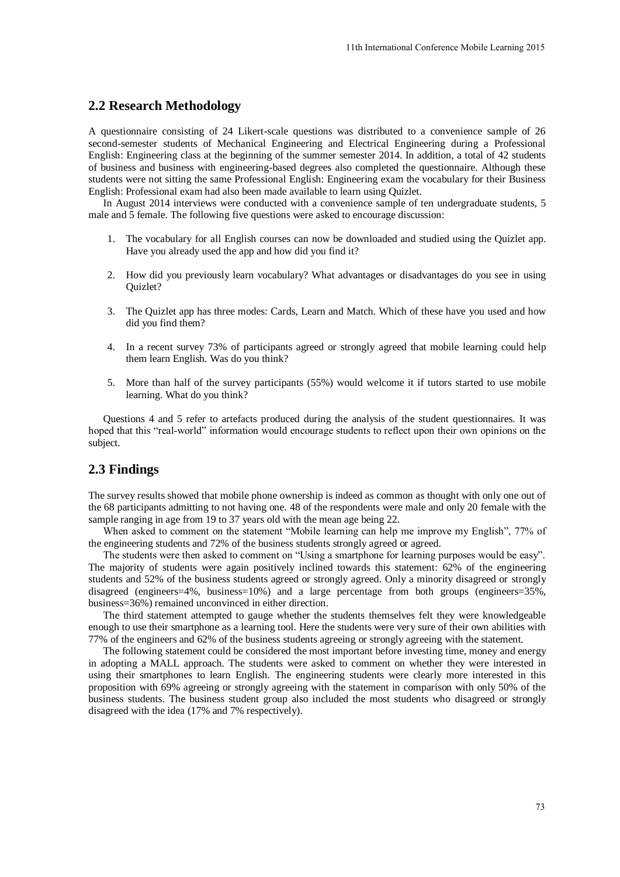## **2.2 Research Methodology**

A questionnaire consisting of 24 Likert-scale questions was distributed to a convenience sample of 26 second-semester students of Mechanical Engineering and Electrical Engineering during a Professional English: Engineering class at the beginning of the summer semester 2014. In addition, a total of 42 students of business and business with engineering-based degrees also completed the questionnaire. Although these students were not sitting the same Professional English: Engineering exam the vocabulary for their Business English: Professional exam had also been made available to learn using Quizlet. 11th International Conference Mobile Learning 2015<br>
as distributed to a convenience sample of 26<br>
Electrical Engineering during a Professional<br>
metester 2014. In addition, a total of 24 student<br>
mensing Poince and the voca

In August 2014 interviews were conducted with a convenience sample of ten undergraduate students, 5 male and 5 female. The following five questions were asked to encourage discussion:

- 1. The vocabulary for all English courses can now be downloaded and studied using the Quizlet app. Have you already used the app and how did you find it?
- 2. How did you previously learn vocabulary? What advantages or disadvantages do you see in using Quizlet?
- 3. The Quizlet app has three modes: Cards, Learn and Match. Which of these have you used and how did you find them?
- 4. In a recent survey 73% of participants agreed or strongly agreed that mobile learning could help them learn English. Was do you think?
- 5. More than half of the survey participants (55%) would welcome it if tutors started to use mobile learning. What do you think?

Questions 4 and 5 refer to artefacts produced during the analysis of the student questionnaires. It was hoped that this "real-world" information would encourage students to reflect upon their own opinions on the subject.

## **2.3 Findings**

The survey results showed that mobile phone ownership is indeed as common as thought with only one out of the 68 participants admitting to not having one. 48 of the respondents were male and only 20 female with the sample ranging in age from 19 to 37 years old with the mean age being 22.

When asked to comment on the statement "Mobile learning can help me improve my English", 77% of the engineering students and 72% of the business students strongly agreed or agreed.

The students were then asked to comment on "Using a smartphone for learning purposes would be easy". The majority of students were again positively inclined towards this statement: 62% of the engineering students and 52% of the business students agreed or strongly agreed. Only a minority disagreed or strongly disagreed (engineers=4%, business=10%) and a large percentage from both groups (engineers=35%, business=36%) remained unconvinced in either direction.

The third statement attempted to gauge whether the students themselves felt they were knowledgeable enough to use their smartphone as a learning tool. Here the students were very sure of their own abilities with 77% of the engineers and 62% of the business students agreeing or strongly agreeing with the statement.

The following statement could be considered the most important before investing time, money and energy in adopting a MALL approach. The students were asked to comment on whether they were interested in using their smartphones to learn English. The engineering students were clearly more interested in this proposition with 69% agreeing or strongly agreeing with the statement in comparison with only 50% of the business students. The business student group also included the most students who disagreed or strongly disagreed with the idea (17% and 7% respectively).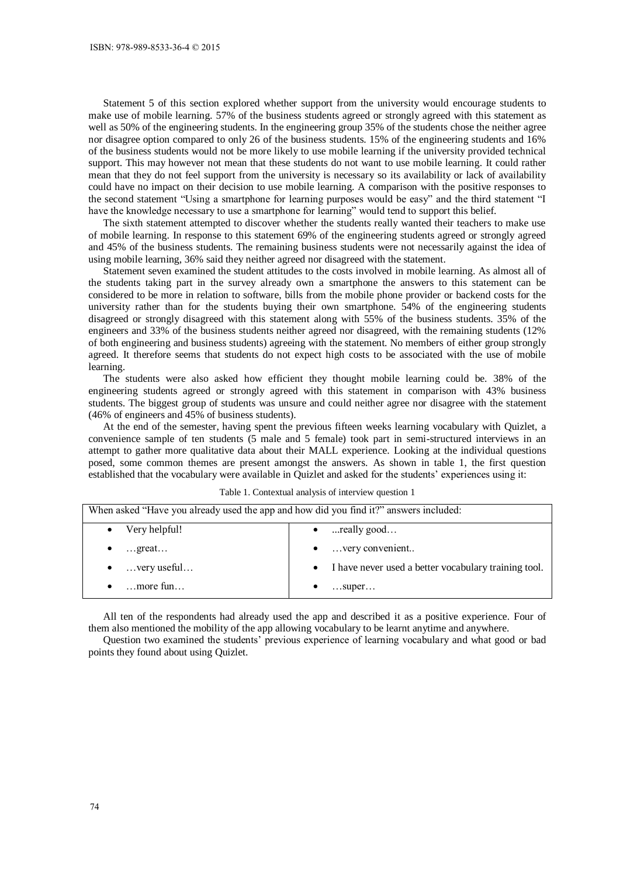Statement 5 of this section explored whether support from the university would encourage students to make use of mobile learning. 57% of the business students agreed or strongly agreed with this statement as well as 50% of the engineering students. In the engineering group 35% of the students chose the neither agree nor disagree option compared to only 26 of the business students. 15% of the engineering students and 16% of the business students would not be more likely to use mobile learning if the university provided technical support. This may however not mean that these students do not want to use mobile learning. It could rather mean that they do not feel support from the university is necessary so its availability or lack of availability could have no impact on their decision to use mobile learning. A comparison with the positive responses to the second statement "Using a smartphone for learning purposes would be easy" and the third statement "I have the knowledge necessary to use a smartphone for learning" would tend to support this belief.

The sixth statement attempted to discover whether the students really wanted their teachers to make use of mobile learning. In response to this statement 69% of the engineering students agreed or strongly agreed and 45% of the business students. The remaining business students were not necessarily against the idea of using mobile learning, 36% said they neither agreed nor disagreed with the statement.

Statement seven examined the student attitudes to the costs involved in mobile learning. As almost all of the students taking part in the survey already own a smartphone the answers to this statement can be considered to be more in relation to software, bills from the mobile phone provider or backend costs for the university rather than for the students buying their own smartphone. 54% of the engineering students disagreed or strongly disagreed with this statement along with 55% of the business students. 35% of the engineers and 33% of the business students neither agreed nor disagreed, with the remaining students (12% of both engineering and business students) agreeing with the statement. No members of either group strongly agreed. It therefore seems that students do not expect high costs to be associated with the use of mobile learning.

The students were also asked how efficient they thought mobile learning could be. 38% of the engineering students agreed or strongly agreed with this statement in comparison with 43% business students. The biggest group of students was unsure and could neither agree nor disagree with the statement (46% of engineers and 45% of business students).

At the end of the semester, having spent the previous fifteen weeks learning vocabulary with Quizlet, a convenience sample of ten students (5 male and 5 female) took part in semi-structured interviews in an attempt to gather more qualitative data about their MALL experience. Looking at the individual questions posed, some common themes are present amongst the answers. As shown in table 1, the first question established that the vocabulary were available in Quizlet and asked for the students' experiences using it:

| When asked "Have you already used the app and how did you find it?" answers included: |                                                        |  |  |  |  |
|---------------------------------------------------------------------------------------|--------------------------------------------------------|--|--|--|--|
| Very helpful!                                                                         | $\bullet$ really good                                  |  |  |  |  |
| $\ldots$ great                                                                        | $\bullet$ very convenient                              |  |  |  |  |
| $\ldots$ very useful                                                                  | • I have never used a better vocabulary training tool. |  |  |  |  |
| more fun                                                                              | $\dots$ super $\dots$                                  |  |  |  |  |

Table 1. Contextual analysis of interview question 1

All ten of the respondents had already used the app and described it as a positive experience. Four of them also mentioned the mobility of the app allowing vocabulary to be learnt anytime and anywhere.

Question two examined the students' previous experience of learning vocabulary and what good or bad points they found about using Quizlet.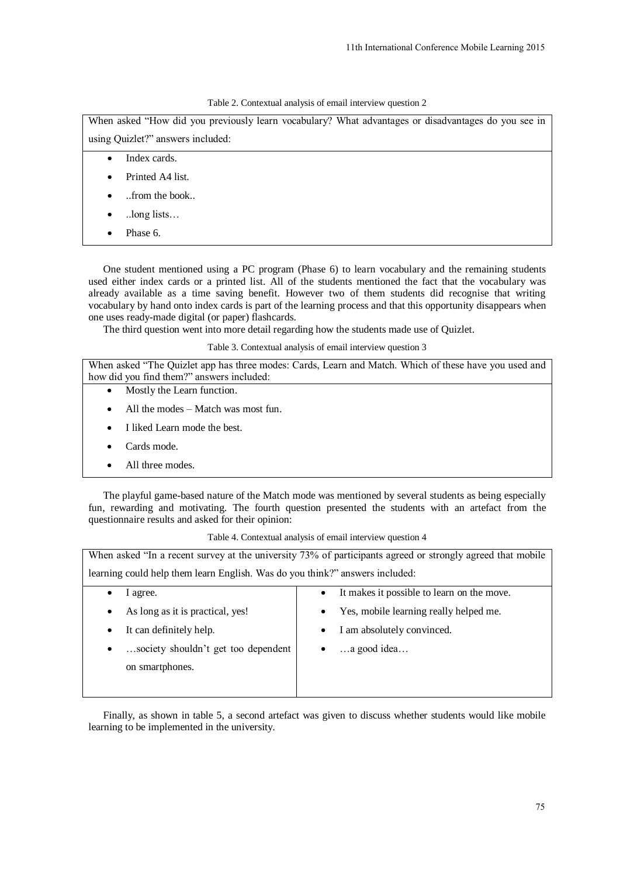|  |  | Table 2. Contextual analysis of email interview question 2 |
|--|--|------------------------------------------------------------|
|--|--|------------------------------------------------------------|

- Index cards.
- Printed A4 list.
- ..from the book..
- ..long lists…
- Phase 6.

- Mostly the Learn function.
- All the modes Match was most fun.
- I liked Learn mode the best.
- Cards mode.
- All three modes.

|                                                                                                                                                | 11th International Conference Mobile Learning 2015                                                                                                                                                                                                                                                                                                                                                                                     |
|------------------------------------------------------------------------------------------------------------------------------------------------|----------------------------------------------------------------------------------------------------------------------------------------------------------------------------------------------------------------------------------------------------------------------------------------------------------------------------------------------------------------------------------------------------------------------------------------|
|                                                                                                                                                |                                                                                                                                                                                                                                                                                                                                                                                                                                        |
|                                                                                                                                                |                                                                                                                                                                                                                                                                                                                                                                                                                                        |
|                                                                                                                                                | Table 2. Contextual analysis of email interview question 2<br>When asked "How did you previously learn vocabulary? What advantages or disadvantages do you see in                                                                                                                                                                                                                                                                      |
| using Quizlet?" answers included:                                                                                                              |                                                                                                                                                                                                                                                                                                                                                                                                                                        |
| Index cards.                                                                                                                                   |                                                                                                                                                                                                                                                                                                                                                                                                                                        |
| $\bullet$<br>Printed A4 list.                                                                                                                  |                                                                                                                                                                                                                                                                                                                                                                                                                                        |
|                                                                                                                                                |                                                                                                                                                                                                                                                                                                                                                                                                                                        |
| $\ldots$ from the book                                                                                                                         |                                                                                                                                                                                                                                                                                                                                                                                                                                        |
| $\log$ lists                                                                                                                                   |                                                                                                                                                                                                                                                                                                                                                                                                                                        |
| Phase 6.                                                                                                                                       |                                                                                                                                                                                                                                                                                                                                                                                                                                        |
| one uses ready-made digital (or paper) flashcards.<br>The third question went into more detail regarding how the students made use of Quizlet. | One student mentioned using a PC program (Phase 6) to learn vocabulary and the remaining students<br>used either index cards or a printed list. All of the students mentioned the fact that the vocabulary was<br>already available as a time saving benefit. However two of them students did recognise that writing<br>vocabulary by hand onto index cards is part of the learning process and that this opportunity disappears when |
|                                                                                                                                                | Table 3. Contextual analysis of email interview question 3                                                                                                                                                                                                                                                                                                                                                                             |
| how did you find them?" answers included:                                                                                                      | When asked "The Quizlet app has three modes: Cards, Learn and Match. Which of these have you used and                                                                                                                                                                                                                                                                                                                                  |
| Mostly the Learn function.<br>$\bullet$                                                                                                        |                                                                                                                                                                                                                                                                                                                                                                                                                                        |
| All the modes – Match was most fun.<br>٠                                                                                                       |                                                                                                                                                                                                                                                                                                                                                                                                                                        |
| I liked Learn mode the best.<br>٠                                                                                                              |                                                                                                                                                                                                                                                                                                                                                                                                                                        |
| Cards mode.                                                                                                                                    |                                                                                                                                                                                                                                                                                                                                                                                                                                        |
| All three modes.<br>٠                                                                                                                          |                                                                                                                                                                                                                                                                                                                                                                                                                                        |
| questionnaire results and asked for their opinion:                                                                                             | The playful game-based nature of the Match mode was mentioned by several students as being especially<br>fun, rewarding and motivating. The fourth question presented the students with an artefact from the                                                                                                                                                                                                                           |
|                                                                                                                                                | Table 4. Contextual analysis of email interview question 4                                                                                                                                                                                                                                                                                                                                                                             |
|                                                                                                                                                | When asked "In a recent survey at the university 73% of participants agreed or strongly agreed that mobile                                                                                                                                                                                                                                                                                                                             |
| learning could help them learn English. Was do you think?" answers included:                                                                   |                                                                                                                                                                                                                                                                                                                                                                                                                                        |
| I agree.<br>٠                                                                                                                                  | It makes it possible to learn on the move.<br>$\bullet$                                                                                                                                                                                                                                                                                                                                                                                |
| As long as it is practical, yes!                                                                                                               | Yes, mobile learning really helped me.<br>٠                                                                                                                                                                                                                                                                                                                                                                                            |
| It can definitely help.                                                                                                                        | I am absolutely convinced.<br>$\bullet$                                                                                                                                                                                                                                                                                                                                                                                                |
| society shouldn't get too dependent                                                                                                            | a good idea                                                                                                                                                                                                                                                                                                                                                                                                                            |
| on smartphones.                                                                                                                                |                                                                                                                                                                                                                                                                                                                                                                                                                                        |
|                                                                                                                                                |                                                                                                                                                                                                                                                                                                                                                                                                                                        |
| learning to be implemented in the university.                                                                                                  | Finally, as shown in table 5, a second artefact was given to discuss whether students would like mobile                                                                                                                                                                                                                                                                                                                                |
|                                                                                                                                                |                                                                                                                                                                                                                                                                                                                                                                                                                                        |
|                                                                                                                                                | 75                                                                                                                                                                                                                                                                                                                                                                                                                                     |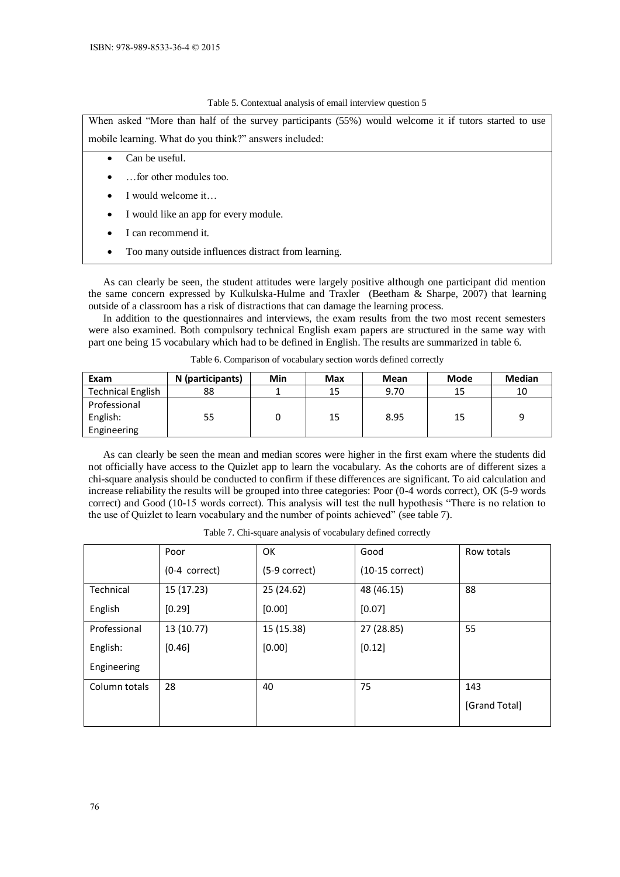#### Table 5. Contextual analysis of email interview question 5

When asked "More than half of the survey participants (55%) would welcome it if tutors started to use mobile learning. What do you think?" answers included:

#### Can be useful.

- …for other modules too.
- I would welcome it…
- I would like an app for every module.
- I can recommend it.
- Too many outside influences distract from learning.

As can clearly be seen, the student attitudes were largely positive although one participant did mention the same concern expressed by Kulkulska-Hulme and Traxler (Beetham & Sharpe, 2007) that learning outside of a classroom has a risk of distractions that can damage the learning process.

In addition to the questionnaires and interviews, the exam results from the two most recent semesters were also examined. Both compulsory technical English exam papers are structured in the same way with part one being 15 vocabulary which had to be defined in English. The results are summarized in table 6.

| Exam                     | N (participants) | Min | Max | Mean | Mode | <b>Median</b> |
|--------------------------|------------------|-----|-----|------|------|---------------|
| <b>Technical English</b> | 88               |     | 15  | 9.70 | 15   | 10            |
| Professional             |                  |     |     |      |      |               |
| English:                 | 55               |     | 15  | 8.95 | 15   | q             |
| Engineering              |                  |     |     |      |      |               |

Table 6. Comparison of vocabulary section words defined correctly

As can clearly be seen the mean and median scores were higher in the first exam where the students did not officially have access to the Quizlet app to learn the vocabulary. As the cohorts are of different sizes a chi-square analysis should be conducted to confirm if these differences are significant. To aid calculation and increase reliability the results will be grouped into three categories: Poor (0-4 words correct), OK (5-9 words correct) and Good (10-15 words correct). This analysis will test the null hypothesis "There is no relation to the use of Quizlet to learn vocabulary and the number of points achieved" (see table 7).

|               | Poor            | OK            | Good              | Row totals    |
|---------------|-----------------|---------------|-------------------|---------------|
|               | $(0-4$ correct) | (5-9 correct) | $(10-15$ correct) |               |
| Technical     | 15 (17.23)      | 25 (24.62)    | 48 (46.15)        | 88            |
| English       | [0.29]          | [0.00]        | [0.07]            |               |
| Professional  | 13 (10.77)      | 15 (15.38)    | 27 (28.85)        | 55            |
| English:      | [0.46]          | [0.00]        | [0.12]            |               |
| Engineering   |                 |               |                   |               |
| Column totals | 28              | 40            | 75                | 143           |
|               |                 |               |                   | [Grand Total] |
|               |                 |               |                   |               |

Table 7. Chi-square analysis of vocabulary defined correctly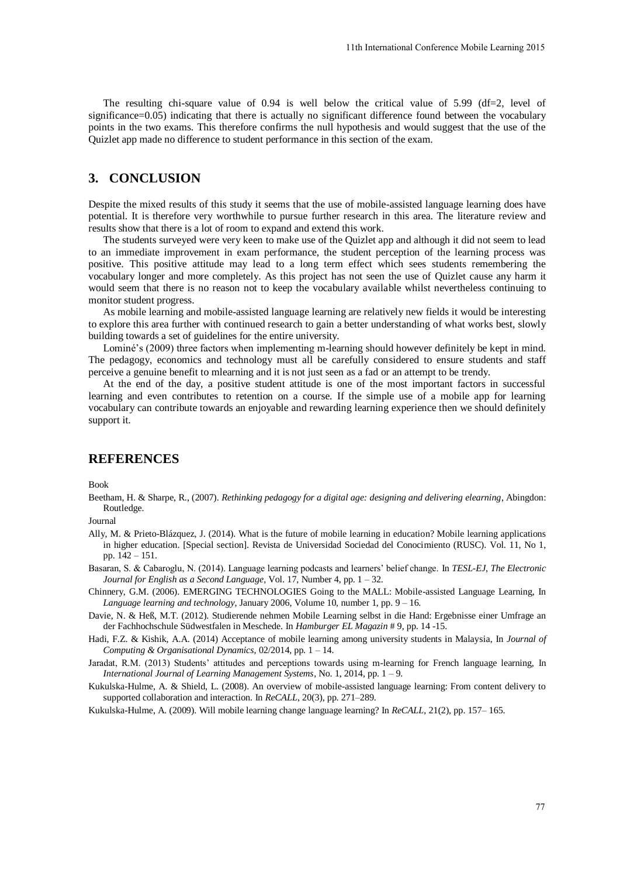The resulting chi-square value of  $0.94$  is well below the critical value of  $5.99$  (df=2, level of significance=0.05) indicating that there is actually no significant difference found between the vocabulary points in the two exams. This therefore confirms the null hypothesis and would suggest that the use of the Quizlet app made no difference to student performance in this section of the exam.

## **3. CONCLUSION**

Despite the mixed results of this study it seems that the use of mobile-assisted language learning does have potential. It is therefore very worthwhile to pursue further research in this area. The literature review and results show that there is a lot of room to expand and extend this work.

The students surveyed were very keen to make use of the Quizlet app and although it did not seem to lead to an immediate improvement in exam performance, the student perception of the learning process was positive. This positive attitude may lead to a long term effect which sees students remembering the vocabulary longer and more completely. As this project has not seen the use of Quizlet cause any harm it would seem that there is no reason not to keep the vocabulary available whilst nevertheless continuing to monitor student progress. 11th International Conference Mobile Learning 2015<br>
v the critical value of 5.99 (df=2, level of<br>
cicant difference found between the vocabulary<br>
pothesis and would suggest that the use of the<br>
section of the exam.<br>
of mo

As mobile learning and mobile-assisted language learning are relatively new fields it would be interesting to explore this area further with continued research to gain a better understanding of what works best, slowly building towards a set of guidelines for the entire university.

Lominé's (2009) three factors when implementing m-learning should however definitely be kept in mind. The pedagogy, economics and technology must all be carefully considered to ensure students and staff perceive a genuine benefit to mlearning and it is not just seen as a fad or an attempt to be trendy.

At the end of the day, a positive student attitude is one of the most important factors in successful learning and even contributes to retention on a course. If the simple use of a mobile app for learning vocabulary can contribute towards an enjoyable and rewarding learning experience then we should definitely support it.

#### **REFERENCES**

Book

Beetham, H. & Sharpe, R., (2007). *Rethinking pedagogy for a digital age: designing and delivering elearning*, Abingdon: Routledge.

Journal

- Ally, M. & Prieto-Blázquez, J. (2014). What is the future of mobile learning in education? Mobile learning applications in higher education. [Special section]. Revista de Universidad Sociedad del Conocimiento (RUSC). Vol. 11, No 1, pp. 142 – 151.
- Basaran, S. & Cabaroglu, N. (2014). Language learning podcasts and learners' belief change. In *TESL-EJ, The Electronic Journal for English as a Second Language*, Vol. 17, Number 4, pp. 1 – 32.
- Chinnery, G.M. (2006). EMERGING TECHNOLOGIES Going to the MALL: Mobile-assisted Language Learning, In *Language learning and technology*, January 2006, Volume 10, number 1, pp. 9 – 16.
- Davie, N. & Heß, M.T. (2012). Studierende nehmen Mobile Learning selbst in die Hand: Ergebnisse einer Umfrage an der Fachhochschule Südwestfalen in Meschede. In *Hamburger EL Magazin* # 9, pp. 14 -15.
- Hadi, F.Z. & Kishik, A.A. (2014) Acceptance of mobile learning among university students in Malaysia, In *Journal of Computing & Organisational Dynamics*, 02/2014, pp. 1 – 14.
- Jaradat, R.M. (2013) Students' attitudes and perceptions towards using m-learning for French language learning, In *International Journal of Learning Management Systems*, No. 1, 2014, pp. 1 – 9.
- Kukulska-Hulme, A. & Shield, L. (2008). An overview of mobile-assisted language learning: From content delivery to supported collaboration and interaction. In *ReCALL*, 20(3), pp. 271–289.

Kukulska-Hulme, A. (2009). Will mobile learning change language learning? In *ReCALL*, 21(2), pp. 157– 165.